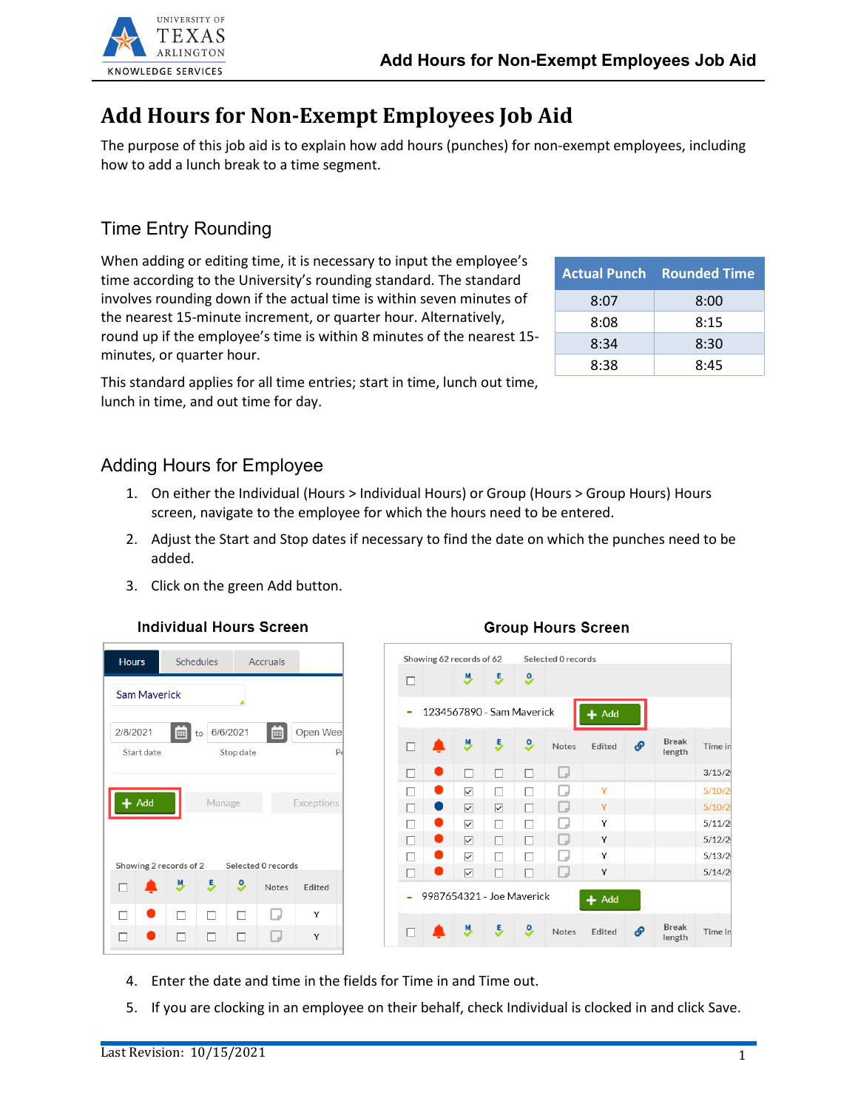

# **Add Hours for Non-Exempt Employees Job Aid**

The purpose of this job aid is to explain how add hours (punches) for non-exempt employees, including how to add a lunch break to a time segment.

## Time Entry Rounding

When adding or editing time, it is necessary to input the employee's time according to the University's rounding standard. The standard involves rounding down if the actual time is within seven minutes of the nearest 15-minute increment, or quarter hour. Alternatively, round up if the employee's time is within 8 minutes of the nearest 15 minutes, or quarter hour.

|      | <b>Actual Punch Rounded Time</b> |
|------|----------------------------------|
| 8:07 | 8:00                             |
| 8:08 | 8:15                             |
| 8:34 | 8:30                             |
| 8:38 | 8:45                             |

This standard applies for all time entries; start in time, lunch out time, lunch in time, and out time for day.

#### Adding Hours for Employee

- 1. On either the Individual (Hours > Individual Hours) or Group (Hours > Group Hours) Hours screen, navigate to the employee for which the hours need to be entered.
- 2. Adjust the Start and Stop dates if necessary to find the date on which the punches need to be added.
- 3. Click on the green Add button.





| 1234567890 - Sam Maverick |                   |    |          |              | $+$ Add       |   |                        |
|---------------------------|-------------------|----|----------|--------------|---------------|---|------------------------|
|                           |                   | Ε, | <u>s</u> | <b>Notes</b> | <b>Edited</b> | P | <b>Break</b><br>length |
|                           | п                 | □  | п        |              |               |   |                        |
|                           | $\overline{\vee}$ | П  | п        |              | Y             |   |                        |
|                           | ☑                 | ☑  |          |              | Y             |   |                        |
|                           | ☑                 |    |          |              | Y             |   |                        |
|                           | ☑                 | ш  |          |              | Y             |   |                        |
|                           | ☑                 |    |          |              | Y             |   |                        |
|                           | ☑                 |    |          |              | Υ             |   |                        |
| 9987654321 - Joe Maverick |                   |    |          |              | $+$ Add       |   |                        |

**Group Hours Screen** 

- 4. Enter the date and time in the fields for Time in and Time out.
- 5. If you are clocking in an employee on their behalf, check Individual is clocked in and click Save.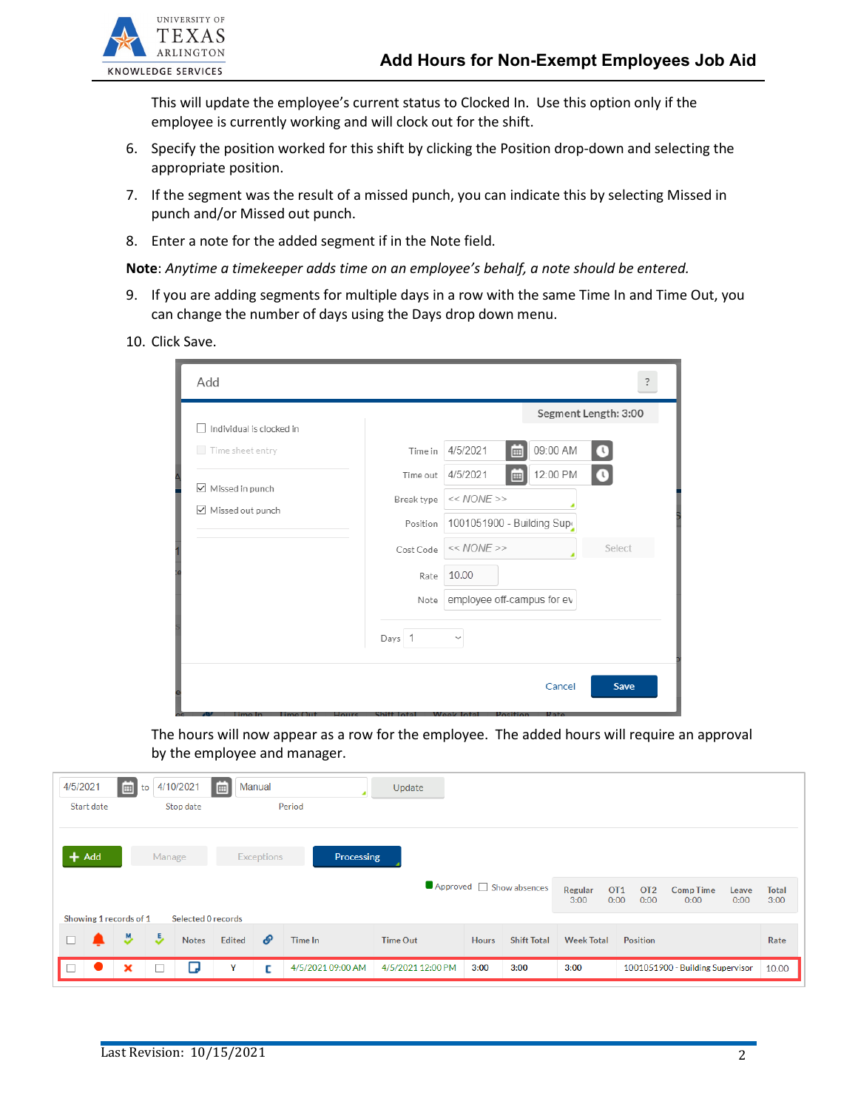

This will update the employee's current status to Clocked In. Use this option only if the employee is currently working and will clock out for the shift.

- 6. Specify the position worked for this shift by clicking the Position drop-down and selecting the appropriate position.
- 7. If the segment was the result of a missed punch, you can indicate this by selecting Missed in punch and/or Missed out punch.
- 8. Enter a note for the added segment if in the Note field.

#### **Note**: *Anytime a timekeeper adds time on an employee's behalf, a note should be entered.*

- 9. If you are adding segments for multiple days in a row with the same Time In and Time Out, you can change the number of days using the Days drop down menu.
- 10. Click Save.

| Add                                     | ?                                                  |
|-----------------------------------------|----------------------------------------------------|
| Individual is clocked in                | Segment Length: 3:00                               |
| Time sheet entry                        | 09:00 AM<br>4/5/2021<br>Time in<br>$\bigcirc$<br>囲 |
|                                         | 12:00 PM<br>4/5/2021<br>$\bullet$<br>Time out<br>圃 |
| ■ Missed in punch<br>√ Missed out punch | $<< NONE$ >><br>Break type                         |
|                                         | 1001051900 - Building Supr<br>Position             |
|                                         | $<< NONE$ >><br>Select<br>Cost Code                |
|                                         | 10.00<br>Rate                                      |
|                                         | employee off-campus for ev<br>Note                 |
|                                         | Days 1<br>$\checkmark$                             |
|                                         | Cancel<br>Save                                     |

The hours will now appear as a row for the employee. The added hours will require an approval by the employee and manager.

| 4/5/2021 |                                                                                | 茴 | to | 4/10/2021    | 画             | Manual |                   | Update            |              |                    |                                                    |                                  |                                  |       |
|----------|--------------------------------------------------------------------------------|---|----|--------------|---------------|--------|-------------------|-------------------|--------------|--------------------|----------------------------------------------------|----------------------------------|----------------------------------|-------|
|          | Start date                                                                     |   |    | Stop date    |               |        | Period            |                   |              |                    |                                                    |                                  |                                  |       |
|          | $+$ Add<br>Processing<br>Manage<br><b>Exceptions</b><br>Approved Show absences |   |    |              |               |        |                   |                   |              | Regular<br>3:00    | OT <sub>1</sub><br>OT <sub>2</sub><br>0:00<br>0:00 | <b>Comp Time</b><br>0:00<br>0:00 | <b>Total</b><br>Leave<br>3:00    |       |
|          | Showing 1 records of 1<br><b>Selected O records</b>                            |   |    |              |               |        |                   |                   |              |                    |                                                    |                                  |                                  |       |
| $\Box$   |                                                                                | Y | J. | <b>Notes</b> | <b>Edited</b> | P      | <b>Time In</b>    | <b>Time Out</b>   | <b>Hours</b> | <b>Shift Total</b> | <b>Week Total</b>                                  | <b>Position</b>                  |                                  | Rate  |
| П        |                                                                                | × | с  | ◡            | Y             | с      | 4/5/2021 09:00 AM | 4/5/2021 12:00 PM | 3:00         | 3:00               | 3:00                                               |                                  | 1001051900 - Building Supervisor | 10.00 |